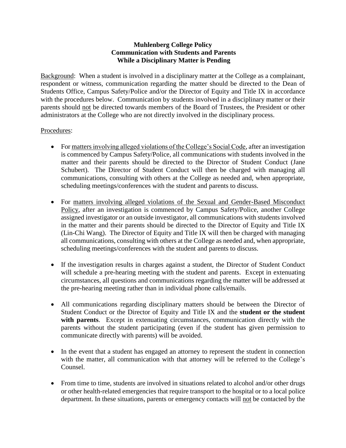## **Muhlenberg College Policy Communication with Students and Parents While a Disciplinary Matter is Pending**

Background: When a student is involved in a disciplinary matter at the College as a complainant, respondent or witness, communication regarding the matter should be directed to the Dean of Students Office, Campus Safety/Police and/or the Director of Equity and Title IX in accordance with the procedures below. Communication by students involved in a disciplinary matter or their parents should not be directed towards members of the Board of Trustees, the President or other administrators at the College who are not directly involved in the disciplinary process.

## Procedures:

- For matters involving alleged violations of the College's Social Code, after an investigation is commenced by Campus Safety/Police, all communications with students involved in the matter and their parents should be directed to the Director of Student Conduct (Jane Schubert). The Director of Student Conduct will then be charged with managing all communications, consulting with others at the College as needed and, when appropriate, scheduling meetings/conferences with the student and parents to discuss.
- For matters involving alleged violations of the Sexual and Gender-Based Misconduct Policy, after an investigation is commenced by Campus Safety/Police, another College assigned investigator or an outside investigator, all communications with students involved in the matter and their parents should be directed to the Director of Equity and Title IX (Lin-Chi Wang). The Director of Equity and Title IX will then be charged with managing all communications, consulting with others at the College as needed and, when appropriate, scheduling meetings/conferences with the student and parents to discuss.
- If the investigation results in charges against a student, the Director of Student Conduct will schedule a pre-hearing meeting with the student and parents. Except in extenuating circumstances, all questions and communications regarding the matter will be addressed at the pre-hearing meeting rather than in individual phone calls/emails.
- All communications regarding disciplinary matters should be between the Director of Student Conduct or the Director of Equity and Title IX and the **student or the student with parents**. Except in extenuating circumstances, communication directly with the parents without the student participating (even if the student has given permission to communicate directly with parents) will be avoided.
- In the event that a student has engaged an attorney to represent the student in connection with the matter, all communication with that attorney will be referred to the College's Counsel.
- From time to time, students are involved in situations related to alcohol and/or other drugs or other health-related emergencies that require transport to the hospital or to a local police department. In these situations, parents or emergency contacts will not be contacted by the